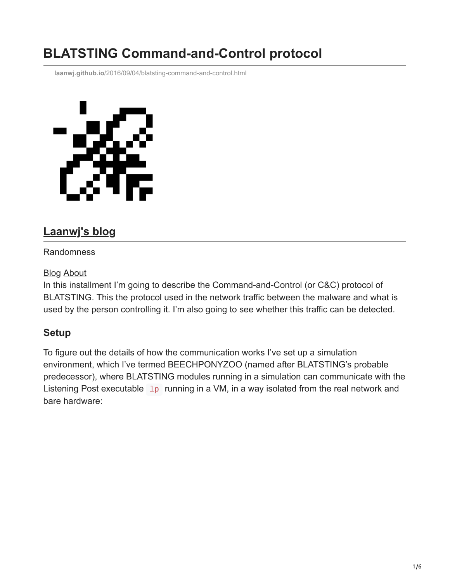# **BLATSTING Command-and-Control protocol**

**laanwj.github.io**[/2016/09/04/blatsting-command-and-control.html](https://laanwj.github.io/2016/09/04/blatsting-command-and-control.html)



# **[Laanwj's blog](https://laanwj.github.io/)**

### Randomness

#### [Blog](https://laanwj.github.io/) [About](https://laanwj.github.io/about)

In this installment I'm going to describe the Command-and-Control (or C&C) protocol of BLATSTING. This the protocol used in the network traffic between the malware and what is used by the person controlling it. I'm also going to see whether this traffic can be detected.

## **Setup**

To figure out the details of how the communication works I've set up a simulation environment, which I've termed BEECHPONYZOO (named after BLATSTING's probable predecessor), where BLATSTING modules running in a simulation can communicate with the Listening Post executable  $\perp_{p}$  running in a VM, in a way isolated from the real network and bare hardware: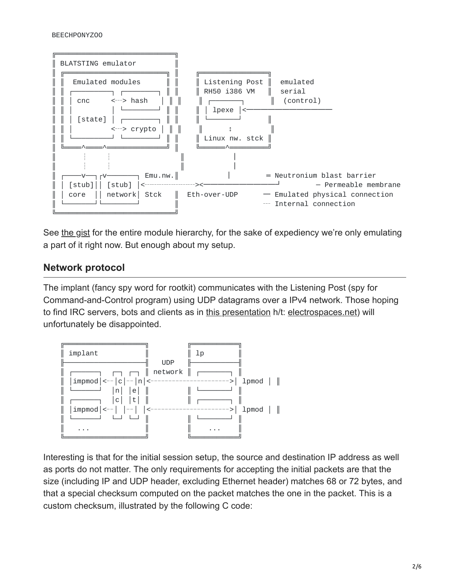

See [the gist](https://gist.github.com/laanwj/9e5e404266a8956beabde522f97c421b#file-blatsting-txt-L36) for the entire module hierarchy, for the sake of expediency we're only emulating a part of it right now. But enough about my setup.

# **Network protocol**

The implant (fancy spy word for rootkit) communicates with the Listening Post (spy for Command-and-Control program) using UDP datagrams over a IPv4 network. Those hoping to find IRC servers, bots and clients as in [this presentation](http://www.spiegel.de/media/media-35689.pdf) h/t: [electrospaces.net\)](https://electrospaces.blogspot.nl/2016/08/is-shadow-brokers-leak-latest-in-series.html) will unfortunately be disappointed.



Interesting is that for the initial session setup, the source and destination IP address as well as ports do not matter. The only requirements for accepting the initial packets are that the size (including IP and UDP header, excluding Ethernet header) matches 68 or 72 bytes, and that a special checksum computed on the packet matches the one in the packet. This is a custom checksum, illustrated by the following C code: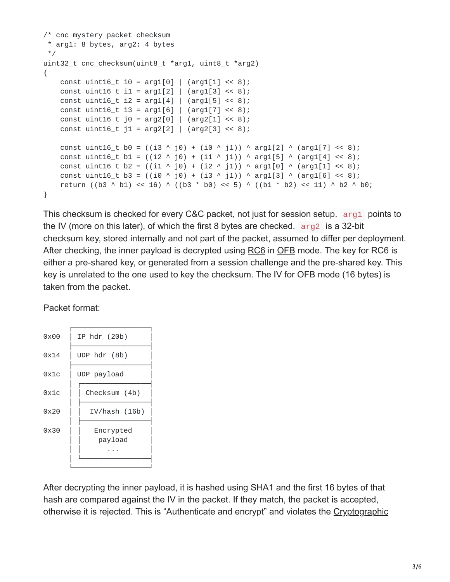```
/* cnc mystery packet checksum
 * arg1: 8 bytes, arg2: 4 bytes
 */
uint32_t cnc_checksum(uint8_t *arg1, uint8_t *arg2)
{
    const uint16_t i0 = arg1[0] | (arg1[1] << 8);
    const uint16_t i1 = arg1[2] | (arg1[3] \le 8);
    const uint16_t i2 = arg1[4] | (arg1[5] << 8);const uint16_t i3 = arg1[6] | (arg1[7] \le 8);
    const uint16_t j0 = arg2[0] | (arg2[1] \le 8);
    const uint16_t j1 = arg2[2] | (arg2[3] < 8);const uint16_t b0 = ((i3 ^ j0) + (i0 ^ j1)) ^ arg1[2] ^ (arg1[7] << 8);
    const uint16_t b1 = ((i2 \land j0) + (i1 \land j1)) \land arg1[5] \land (arg1[4] \ll 8);const uint16_t b2 = ((i1 ^ j0) + (i2 ^ j1)) ^ arg1[0] ^ (arg1[1] << 8);
    const uint16_t b3 = ((i0 ^ j0) + (i3 ^ j1)) ^ arg1[3] ^ (arg1[6] << 8);
    return ((b3 ^ b1) << 16) ^ ((b3 * b0) << 5) ^ ((b1 * b2) << 11) ^ b2 ^ b0;
}
```
This checksum is checked for every C&C packet, not just for session setup. arg1 points to the IV (more on this later), of which the first 8 bytes are checked. arg2 is a 32-bit checksum key, stored internally and not part of the packet, assumed to differ per deployment. After checking, the inner payload is decrypted using [RC6](https://en.wikipedia.org/wiki/RC6) in [OFB](https://en.wikipedia.org/wiki/Block_cipher_mode_of_operation#OFB) mode. The key for RC6 is either a pre-shared key, or generated from a session challenge and the pre-shared key. This key is unrelated to the one used to key the checksum. The IV for OFB mode (16 bytes) is taken from the packet.

Packet format:



After decrypting the inner payload, it is hashed using SHA1 and the first 16 bytes of that hash are compared against the IV in the packet. If they match, the packet is accepted, [otherwise it is rejected. This is "Authenticate and encrypt" and violates the Cryptographic](https://moxie.org/blog/the-cryptographic-doom-principle/)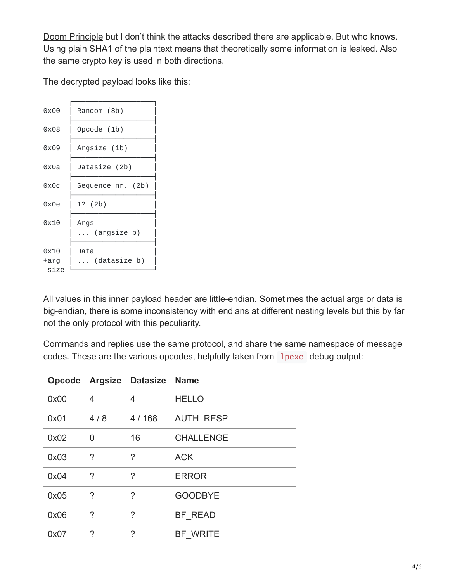[Doom Principle but I don't think the attacks described there are applicable. But who know](https://moxie.org/blog/the-cryptographic-doom-principle/)s. Using plain SHA1 of the plaintext means that theoretically some information is leaked. Also the same crypto key is used in both directions.

The decrypted payload looks like this:

| 0x00                 | Random (8b)          |
|----------------------|----------------------|
| 0x08                 | Opcode (1b)          |
| 0x09                 | Argsize (1b)         |
| 0x0a                 | Datasize (2b)        |
| 0x0c                 | Sequence nr. (2b)    |
| 0x0e                 | 1? (2b)              |
| 0x10                 | Args<br>(argsize b)  |
| 0x10<br>+arg<br>size | Data<br>(datasize b) |

All values in this inner payload header are little-endian. Sometimes the actual args or data is big-endian, there is some inconsistency with endians at different nesting levels but this by far not the only protocol with this peculiarity.

Commands and replies use the same protocol, and share the same namespace of message codes. These are the various opcodes, helpfully taken from linexe debug output:

|      |                | Opcode Argsize Datasize Name |                  |
|------|----------------|------------------------------|------------------|
| 0x00 | 4              | 4                            | <b>HELLO</b>     |
| 0x01 | 4/8            | 4 / 168                      | <b>AUTH RESP</b> |
| 0x02 | $\overline{0}$ | 16                           | <b>CHALLENGE</b> |
| 0x03 | $\overline{?}$ | ?                            | <b>ACK</b>       |
| 0x04 | $\gamma$       | ?                            | <b>ERROR</b>     |
| 0x05 | ?              | ?                            | <b>GOODBYE</b>   |
| 0x06 | $\tilde{?}$    | ?                            | BF READ          |
| 0x07 | ?              | ?                            | BF WRITE         |
|      |                |                              |                  |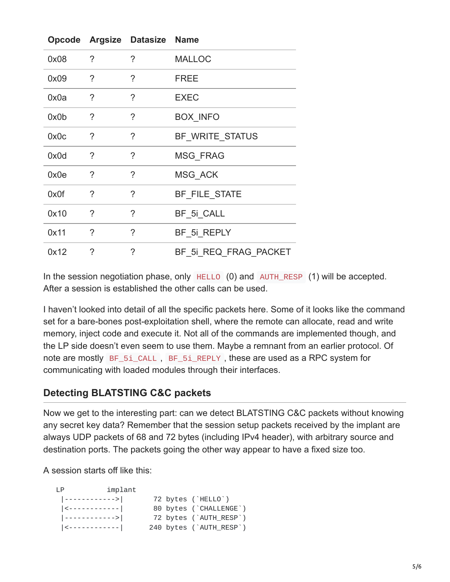|      |             | Opcode Argsize Datasize Name |                       |
|------|-------------|------------------------------|-----------------------|
| 0x08 | $\tilde{?}$ | ?                            | <b>MALLOC</b>         |
| 0x09 | ?           | ?                            | <b>FREE</b>           |
| 0x0a | ?           | ?                            | <b>EXEC</b>           |
| 0x0b | $\tilde{?}$ | $\tilde{?}$                  | <b>BOX INFO</b>       |
| 0x0c | ?           | ?                            | BF WRITE STATUS       |
| 0x0d | $\tilde{?}$ | $\tilde{?}$                  | <b>MSG FRAG</b>       |
| 0x0e | ?           | ?                            | MSG ACK               |
| 0x0f | $\gamma$    | $\gamma$                     | BF FILE STATE         |
| 0x10 | ?           | $\tilde{?}$                  | BF 5i CALL            |
| 0x11 | ?           | ?                            | BF_5i_REPLY           |
| 0x12 | $\gamma$    | ?                            | BF 5i REQ FRAG PACKET |

In the session negotiation phase, only HELLO (0) and AUTH\_RESP (1) will be accepted. After a session is established the other calls can be used.

I haven't looked into detail of all the specific packets here. Some of it looks like the command set for a bare-bones post-exploitation shell, where the remote can allocate, read and write memory, inject code and execute it. Not all of the commands are implemented though, and the LP side doesn't even seem to use them. Maybe a remnant from an earlier protocol. Of note are mostly BF\_5i\_CALL , BF\_5i\_REPLY , these are used as a RPC system for communicating with loaded modules through their interfaces.

## **Detecting BLATSTING C&C packets**

Now we get to the interesting part: can we detect BLATSTING C&C packets without knowing any secret key data? Remember that the session setup packets received by the implant are always UDP packets of 68 and 72 bytes (including IPv4 header), with arbitrary source and destination ports. The packets going the other way appear to have a fixed size too.

A session starts off like this:

| LP                       | implant |  |                         |
|--------------------------|---------|--|-------------------------|
| ------------>            |         |  | 72 bytes (`HELLO`)      |
| <-------------           |         |  | 80 bytes (`CHALLENGE`)  |
|                          |         |  | 72 bytes (`AUTH_RESP`)  |
| $ \langle$ ------------- |         |  | 240 bytes (`AUTH_RESP`) |